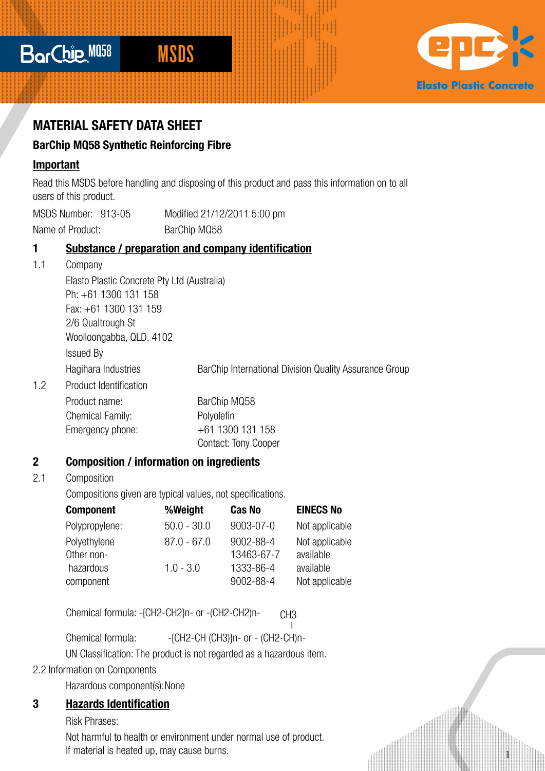# BarChie M058



1

# **MATERIAL SAFETY DATA SHEET**

## **BarChip MQ58 Synthetic Reinforcing Fibre**

### **Important**

Read this MSDS before handling and disposing of this product and pass this information on to all users of this product.

MSDS Number: 913-05 Modified 21/12/2011 5:00 pm Name of Product: BarChip MQ58

### **1 Substance / preparation and company identification**

1.1 Company

Elasto Plastic Concrete Pty Ltd (Australia) Ph: +61 1300 131 158 Fax: +61 1300 131 159 2/6 Qualtrough St Woolloongabba, QLD, 4102 Issued By Hagihara Industries **BarChip International Division Quality Assurance Group** 1.2 Product Identification Product name: BarChip MQ58 Chemical Family: Polyolefin Emergency phone: +61 1300 131 158 Contact: Tony Cooper

## **2 Composition / information on ingredients**

### 2.1 Composition

Compositions given are typical values, not specifications.

| <b>Component</b>           | %Weight       | <b>Cas No</b>           | <b>EINECS No</b>            |
|----------------------------|---------------|-------------------------|-----------------------------|
| Polypropylene:             | $50.0 - 30.0$ | 9003-07-0               | Not applicable              |
| Polyethylene<br>Other non- | $87.0 - 67.0$ | 9002-88-4<br>13463-67-7 | Not applicable<br>available |
| hazardous                  | $1.0 - 3.0$   | 1333-86-4               | available                   |
| component                  |               | 9002-88-4               | Not applicable              |

Chemical formula: -{CH2-CH2}n- or -(CH2-CH2)n-C<sub>H3</sub>

Chemical formula: - -{CH2-CH (CH3)}n- or - (CH2-CH)n- **|**

UN Classification: The product is not regarded as a hazardous item.

### 2.2 Information on Components

Hazardous component(s):None

## **3 Hazards Identification**

Risk Phrases:

Not harmful to health or environment under normal use of product. If material is heated up, may cause burns.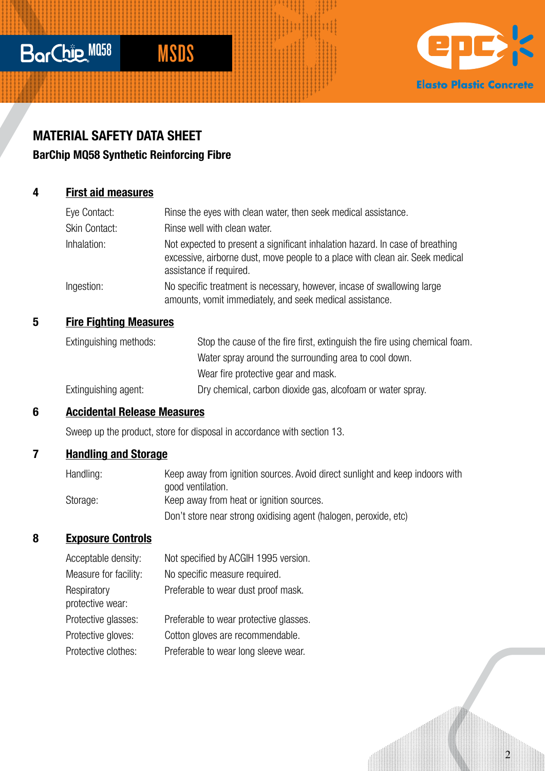# BarChie M058



 $\overline{2}$ 

# **MATERIAL SAFETY DATA SHEET**

# **BarChip MQ58 Synthetic Reinforcing Fibre**

## **4 First aid measures**

| Eye Contact:  | Rinse the eyes with clean water, then seek medical assistance.                                                                                                                            |
|---------------|-------------------------------------------------------------------------------------------------------------------------------------------------------------------------------------------|
| Skin Contact: | Rinse well with clean water.                                                                                                                                                              |
| Inhalation:   | Not expected to present a significant inhalation hazard. In case of breathing<br>excessive, airborne dust, move people to a place with clean air. Seek medical<br>assistance if required. |
| Ingestion:    | No specific treatment is necessary, however, incase of swallowing large<br>amounts, vomit immediately, and seek medical assistance.                                                       |

# **5 Fire Fighting Measures**

| Extinguishing methods: | Stop the cause of the fire first, extinguish the fire using chemical foam. |
|------------------------|----------------------------------------------------------------------------|
|                        | Water spray around the surrounding area to cool down.                      |
|                        | Wear fire protective gear and mask.                                        |
| Extinguishing agent:   | Dry chemical, carbon dioxide gas, alcofoam or water spray.                 |

# **6 Accidental Release Measures**

Sweep up the product, store for disposal in accordance with section 13.

# **7 Handling and Storage**

| Handling: | Keep away from ignition sources. Avoid direct sunlight and keep indoors with |
|-----------|------------------------------------------------------------------------------|
|           | good ventilation.                                                            |
| Storage:  | Keep away from heat or ignition sources.                                     |
|           | Don't store near strong oxidising agent (halogen, peroxide, etc)             |

# **8 Exposure Controls**

| Acceptable density:             | Not specified by ACGIH 1995 version.   |
|---------------------------------|----------------------------------------|
| Measure for facility:           | No specific measure required.          |
| Respiratory<br>protective wear: | Preferable to wear dust proof mask.    |
| Protective glasses:             | Preferable to wear protective glasses. |
| Protective gloves:              | Cotton gloves are recommendable.       |
| Protective clothes:             | Preferable to wear long sleeve wear.   |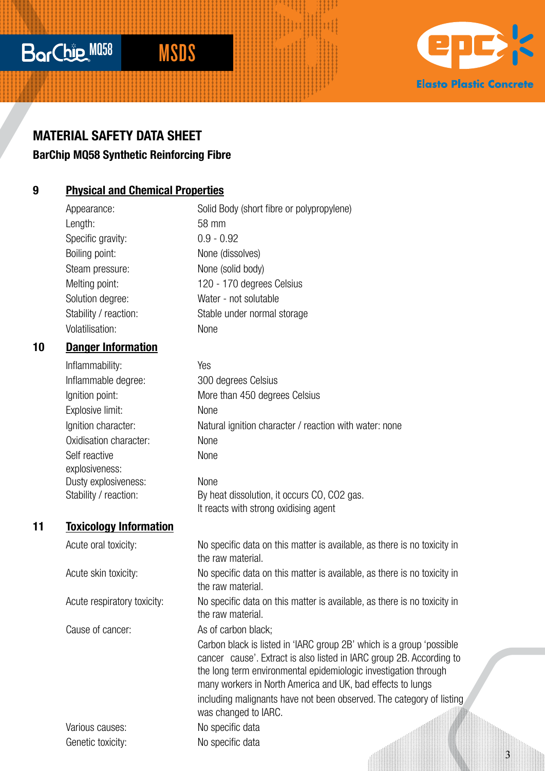# BarChie M058 MSDS

# **Elasto Plastic Concrete**

# **MATERIAL SAFETY DATA SHEET**

# **BarChip MQ58 Synthetic Reinforcing Fibre**

# **9 Physical and Chemical Properties**

Length: 58 mm Specific gravity: 0.9 - 0.92 Boiling point: None (dissolves) Steam pressure: None (solid body) Volatilisation: None

# Appearance: Solid Body (short fibre or polypropylene) Melting point: 120 - 170 degrees Celsius Solution degree: Water - not solutable Stability / reaction: Stable under normal storage

### **10 Danger Information**

Inflammability: Yes Inflammable degree: 300 degrees Celsius Ignition point: More than 450 degrees Celsius Explosive limit: None Ignition character: Natural ignition character / reaction with water: none Oxidisation character: None Self reactive None explosiveness: Dusty explosiveness: None Stability / reaction: By heat dissolution, it occurs CO, CO2 gas. It reacts with strong oxidising agent

#### **11 Toxicology Information**

Acute oral toxicity: No specific data on this matter is available, as there is no toxicity in the raw material Acute skin toxicity: No specific data on this matter is available, as there is no toxicity in the raw material. Acute respiratory toxicity: No specific data on this matter is available, as there is no toxicity in the raw material. Cause of cancer: As of carbon black: Carbon black is listed in 'IARC group 2B' which is a group 'possible cancer cause'. Extract is also listed in IARC group 2B. According to the long term environmental epidemiologic investigation through many workers in North America and UK, bad effects to lungs including malignants have not been observed. The category of listing was changed to IARC. Various causes: No specific data Genetic toxicity: No specific data